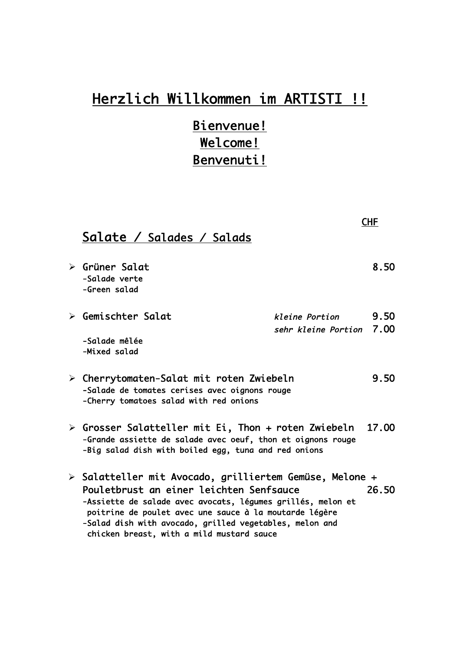# Herzlich Willkommen im ARTISTI !!

Bienvenue! Welcome! Benvenuti!

|                                                                                                                                                                                                                                                                                                                                     | <b>CHF</b>                                            |
|-------------------------------------------------------------------------------------------------------------------------------------------------------------------------------------------------------------------------------------------------------------------------------------------------------------------------------------|-------------------------------------------------------|
| Salate / Salades / Salads                                                                                                                                                                                                                                                                                                           |                                                       |
| $\triangleright$ Grüner Salat<br>-Salade verte<br>-Green salad                                                                                                                                                                                                                                                                      | 8.50                                                  |
| $\triangleright$ Gemischter Salat<br>-Salade mêlée<br>-Mixed salad                                                                                                                                                                                                                                                                  | 9.50<br>kleine Portion<br>7.00<br>sehr kleine Portion |
| 9.50<br>$\triangleright$ Cherrytomaten-Salat mit roten Zwiebeln<br>-Salade de tomates cerises avec oignons rouge<br>-Cherry tomatoes salad with red onions                                                                                                                                                                          |                                                       |
| ≻ Grosser Salatteller mit Ei, Thon + roten Zwiebeln<br>17.00<br>-Grande assiette de salade avec oeuf, thon et oignons rouge<br>-Big salad dish with boiled egg, tuna and red onions                                                                                                                                                 |                                                       |
| > Salatteller mit Avocado, grilliertem Gemüse, Melone +<br>Pouletbrust an einer leichten Senfsauce<br>-Assiette de salade avec avocats, légumes grillés, melon et<br>poitrine de poulet avec une sauce à la moutarde légère<br>-Salad dish with avocado, grilled vegetables, melon and<br>chicken breast, with a mild mustard sauce | 26.50                                                 |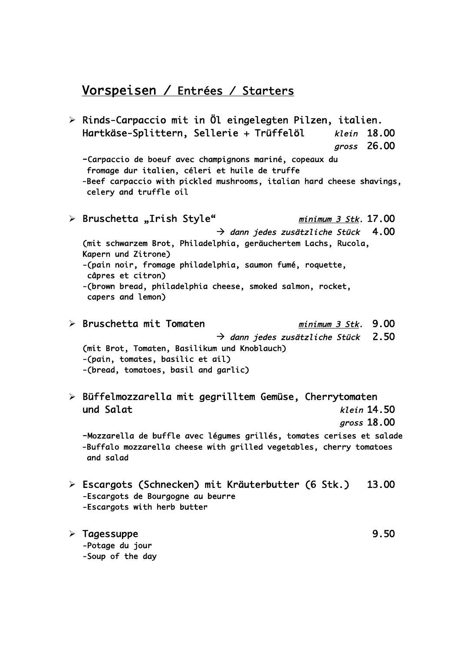#### Vorspeisen / Entrées / Starters

 $\triangleright$  Rinds-Carpaccio mit in Öl eingelegten Pilzen, italien. Hartkäse-Splittern, Sellerie + Trüffelöl klein 18.00 gross 26.OO -Carpaccio de boeuf avec champignons mariné, copeaux du fromage dur italien, céleri et huile de truffe -Beef carpaccio with pickled mushrooms, italian hard cheese shavings, celery and truffle oil Ø Bruschetta "Irish Style" minimum 3 Stk. 17.OO  $\rightarrow$  dann jedes zusätzliche Stück 4.00 (mit schwarzem Brot, Philadelphia, geräuchertem Lachs, Rucola, Kapern und Zitrone) -(pain noir, fromage philadelphia, saumon fumé, roquette, câpres et citron) -(brown bread, philadelphia cheese, smoked salmon, rocket, capers and lemon) Ø Bruschetta mit Tomaten minimum 3 Stk. 9.OO  $\rightarrow$  dann jedes zusätzliche Stück 2.50 (mit Brot, Tomaten, Basilikum und Knoblauch) -(pain, tomates, basilic et ail) -(bread, tomatoes, basil and garlic) Ø Büffelmozzarella mit gegrilltem Gemüse, Cherrytomaten und Salat klein 14.50 gross 18.OO -Mozzarella de buffle avec légumes grillés, tomates cerises et salade -Buffalo mozzarella cheese with grilled vegetables, cherry tomatoes and salad Ø Escargots (Schnecken) mit Kräuterbutter (6 Stk.) 13.OO -Escargots de Bourgogne au beurre -Escargots with herb butter Ø Tagessuppe 9.5O -Potage du jour -Soup of the day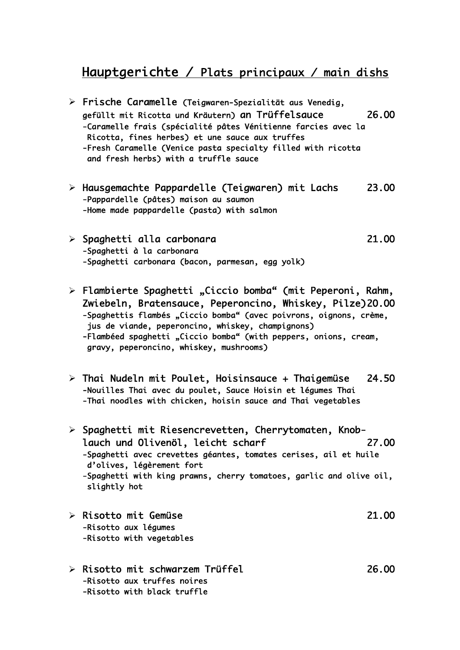### Hauptgerichte / Plats principaux / main dishs

- Ø Frische Caramelle (Teigwaren-Spezialität aus Venedig, gefüllt mit Ricotta und Kräutern) an Trüffelsauce 26.OO -Caramelle frais (spécialité pâtes Vénitienne farcies avec la Ricotta, fines herbes) et une sauce aux truffes -Fresh Caramelle (Venice pasta specialty filled with ricotta and fresh herbs) with a truffle sauce
- Ø Hausgemachte Pappardelle (Teigwaren) mit Lachs 23.OO -Pappardelle (pâtes) maison au saumon -Home made pappardelle (pasta) with salmon
- Ø Spaghetti alla carbonara 21.OO -Spaghetti à la carbonara -Spaghetti carbonara (bacon, parmesan, egg yolk)
- $\triangleright$  Flambierte Spaghetti "Ciccio bomba" (mit Peperoni, Rahm, Zwiebeln, Bratensauce, Peperoncino, Whiskey, Pilze) 2O.OO -Spaghettis flambés "Ciccio bomba" (avec poivrons, oignons, crème, jus de viande, peperoncino, whiskey, champignons) -Flambéed spaghetti "Ciccio bomba" (with peppers, onions, cream, gravy, peperoncino, whiskey, mushrooms)
- $\ge$  Thai Nudeln mit Poulet, Hoisinsauce + Thaigemüse 24.50 -Nouilles Thai avec du poulet, Sauce Hoisin et légumes Thai -Thai noodles with chicken, hoisin sauce and Thai vegetables
- $\triangleright$  Spaghetti mit Riesencrevetten, Cherrytomaten, Knoblauch und Olivenöl, leicht scharf 27.OO -Spaghetti avec crevettes géantes, tomates cerises, ail et huile d'olives, légèrement fort -Spaghetti with king prawns, cherry tomatoes, garlic and olive oil, slightly hot
- Ø Risotto mit Gemüse 21.OO -Risotto aux légumes -Risotto with vegetables
- Ø Risotto mit schwarzem Trüffel 26.OO -Risotto aux truffes noires -Risotto with black truffle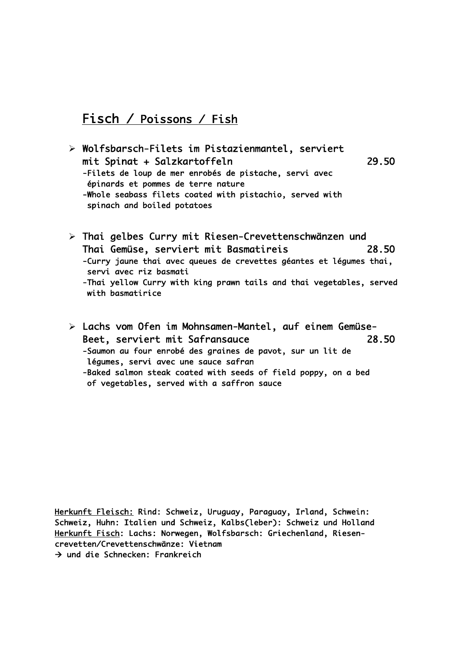## Fisch / Poissons / Fish

- Ø Wolfsbarsch-Filets im Pistazienmantel, serviert mit Spinat + Salzkartoffeln 29.5O -Filets de loup de mer enrobés de pistache, servi avec épinards et pommes de terre nature -Whole seabass filets coated with pistachio, served with spinach and boiled potatoes
- Ø Thai gelbes Curry mit Riesen-Crevettenschwänzen und Thai Gemüse, serviert mit Basmatireis 28.5O -Curry jaune thai avec queues de crevettes géantes et légumes thai, servi avec riz basmati -Thai yellow Curry with king prawn tails and thai vegetables, served with basmatirice
- Ø Lachs vom Ofen im Mohnsamen-Mantel, auf einem Gemüse-Beet, serviert mit Safransauce 28.5O -Saumon au four enrobé des graines de pavot, sur un lit de légumes, servi avec une sauce safran -Baked salmon steak coated with seeds of field poppy, on a bed of vegetables, served with a saffron sauce

Herkunft Fleisch: Rind: Schweiz, Uruguay, Paraguay, Irland, Schwein: Schweiz, Huhn: Italien und Schweiz, Kalbs(leber): Schweiz und Holland Herkunft Fisch: Lachs: Norwegen, Wolfsbarsch: Griechenland, Riesencrevetten/Crevettenschwänze: Vietnam à und die Schnecken: Frankreich